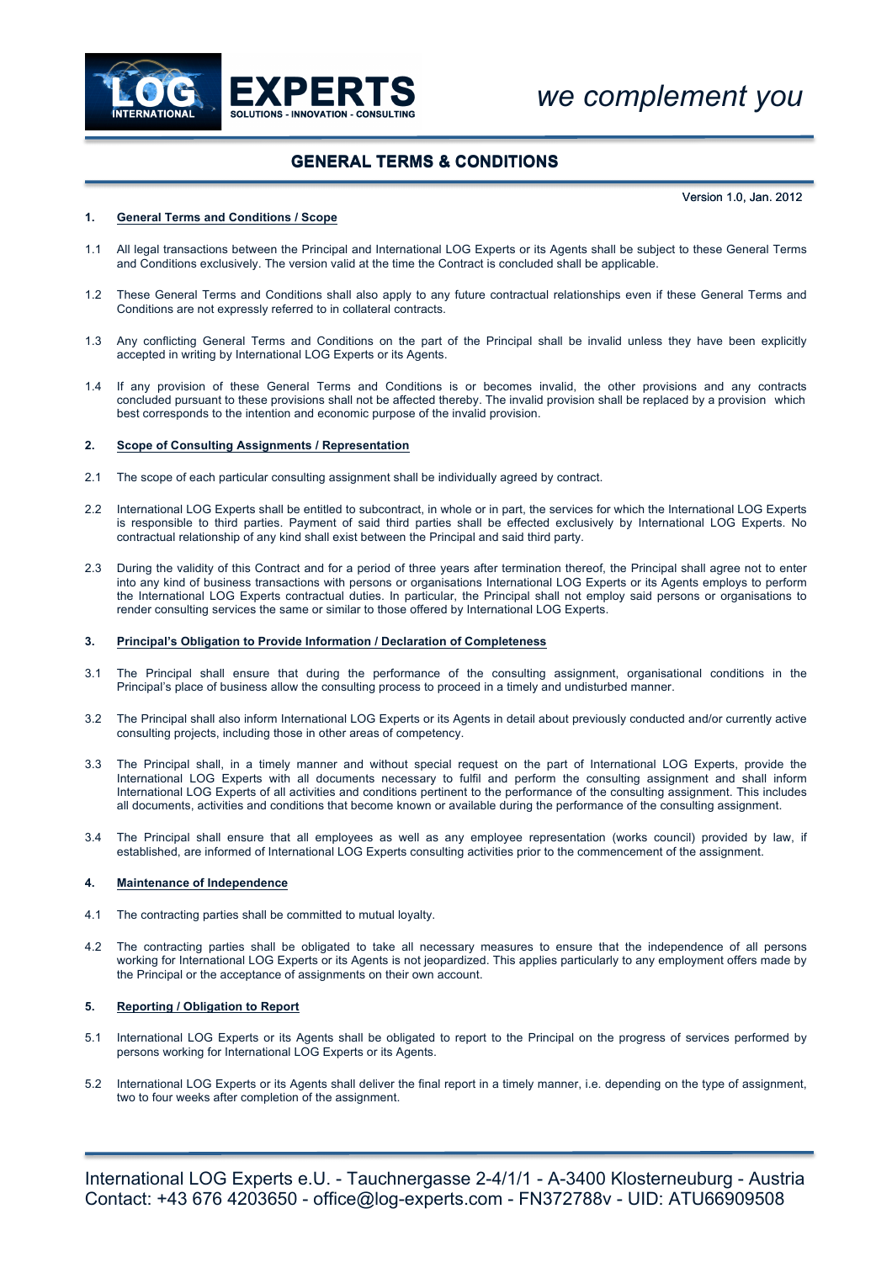

# **GENERAL TERMS & CONDITIONS**

Version 1.0, Jan. 2012

## **1. General Terms and Conditions / Scope**

- 1.1 All legal transactions between the Principal and International LOG Experts or its Agents shall be subject to these General Terms and Conditions exclusively. The version valid at the time the Contract is concluded shall be applicable.
- 1.2 These General Terms and Conditions shall also apply to any future contractual relationships even if these General Terms and Conditions are not expressly referred to in collateral contracts.
- 1.3 Any conflicting General Terms and Conditions on the part of the Principal shall be invalid unless they have been explicitly accepted in writing by International LOG Experts or its Agents.
- 1.4 If any provision of these General Terms and Conditions is or becomes invalid, the other provisions and any contracts concluded pursuant to these provisions shall not be affected thereby. The invalid provision shall be replaced by a provision which best corresponds to the intention and economic purpose of the invalid provision.

## **2. Scope of Consulting Assignments / Representation**

- 2.1 The scope of each particular consulting assignment shall be individually agreed by contract.
- 2.2 International LOG Experts shall be entitled to subcontract, in whole or in part, the services for which the International LOG Experts is responsible to third parties. Payment of said third parties shall be effected exclusively by International LOG Experts. No contractual relationship of any kind shall exist between the Principal and said third party.
- 2.3 During the validity of this Contract and for a period of three years after termination thereof, the Principal shall agree not to enter into any kind of business transactions with persons or organisations International LOG Experts or its Agents employs to perform the International LOG Experts contractual duties. In particular, the Principal shall not employ said persons or organisations to render consulting services the same or similar to those offered by International LOG Experts.

### **3. Principal's Obligation to Provide Information / Declaration of Completeness**

- 3.1 The Principal shall ensure that during the performance of the consulting assignment, organisational conditions in the Principal's place of business allow the consulting process to proceed in a timely and undisturbed manner.
- 3.2 The Principal shall also inform International LOG Experts or its Agents in detail about previously conducted and/or currently active consulting projects, including those in other areas of competency.
- 3.3 The Principal shall, in a timely manner and without special request on the part of International LOG Experts, provide the International LOG Experts with all documents necessary to fulfil and perform the consulting assignment and shall inform International LOG Experts of all activities and conditions pertinent to the performance of the consulting assignment. This includes all documents, activities and conditions that become known or available during the performance of the consulting assignment.
- 3.4 The Principal shall ensure that all employees as well as any employee representation (works council) provided by law, if established, are informed of International LOG Experts consulting activities prior to the commencement of the assignment.

## **4. Maintenance of Independence**

- 4.1 The contracting parties shall be committed to mutual loyalty.
- 4.2 The contracting parties shall be obligated to take all necessary measures to ensure that the independence of all persons working for International LOG Experts or its Agents is not jeopardized. This applies particularly to any employment offers made by the Principal or the acceptance of assignments on their own account.

## **5. Reporting / Obligation to Report**

- 5.1 International LOG Experts or its Agents shall be obligated to report to the Principal on the progress of services performed by persons working for International LOG Experts or its Agents.
- 5.2 International LOG Experts or its Agents shall deliver the final report in a timely manner, i.e. depending on the type of assignment, two to four weeks after completion of the assignment.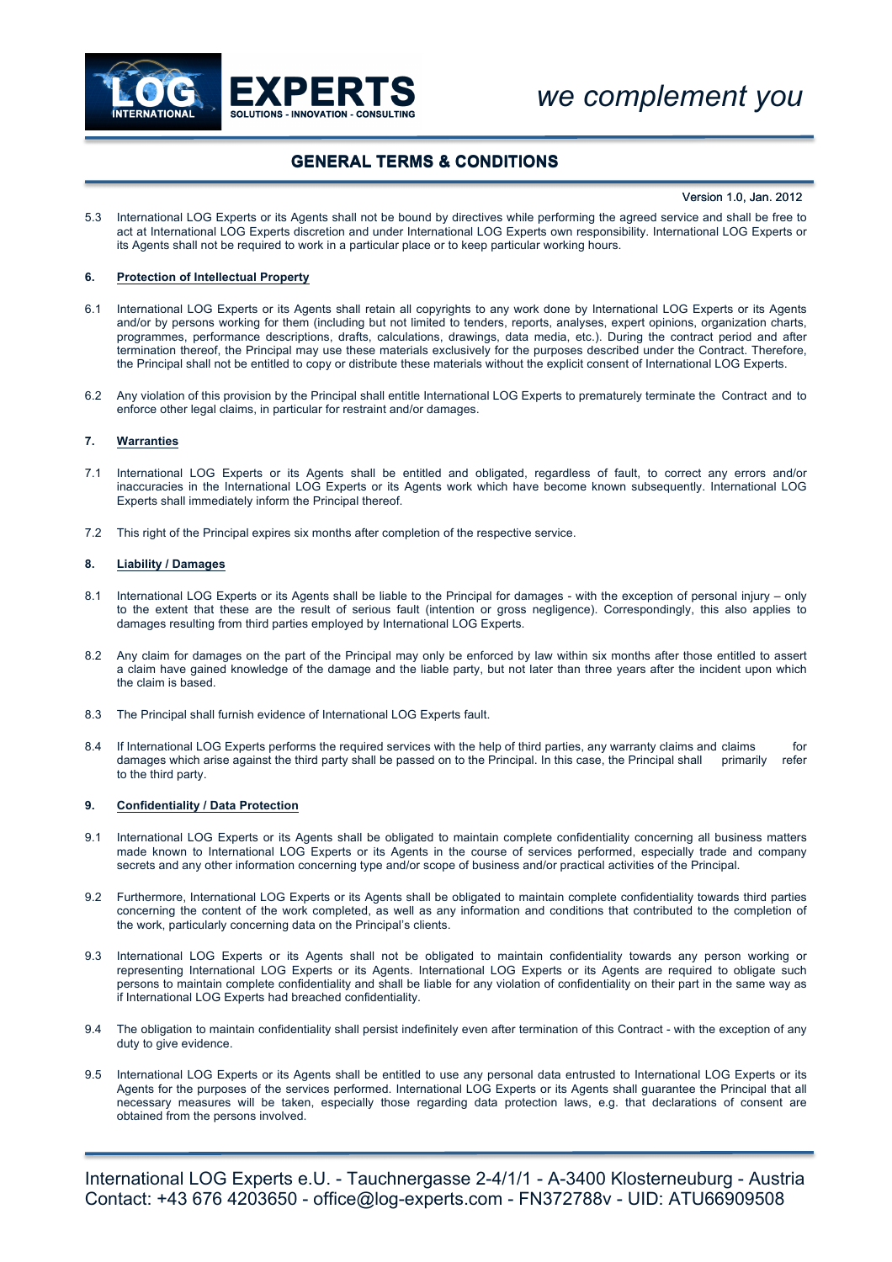

# **GENERAL TERMS & CONDITIONS**

#### Version 1.0, Jan. 2012

5.3 International LOG Experts or its Agents shall not be bound by directives while performing the agreed service and shall be free to act at International LOG Experts discretion and under International LOG Experts own responsibility. International LOG Experts or its Agents shall not be required to work in a particular place or to keep particular working hours.

### **6. Protection of Intellectual Property**

- 6.1 International LOG Experts or its Agents shall retain all copyrights to any work done by International LOG Experts or its Agents and/or by persons working for them (including but not limited to tenders, reports, analyses, expert opinions, organization charts, programmes, performance descriptions, drafts, calculations, drawings, data media, etc.). During the contract period and after termination thereof, the Principal may use these materials exclusively for the purposes described under the Contract. Therefore, the Principal shall not be entitled to copy or distribute these materials without the explicit consent of International LOG Experts.
- 6.2 Any violation of this provision by the Principal shall entitle International LOG Experts to prematurely terminate the Contract and to enforce other legal claims, in particular for restraint and/or damages.

### **7. Warranties**

- 7.1 International LOG Experts or its Agents shall be entitled and obligated, regardless of fault, to correct any errors and/or inaccuracies in the International LOG Experts or its Agents work which have become known subsequently. International LOG Experts shall immediately inform the Principal thereof.
- 7.2 This right of the Principal expires six months after completion of the respective service.

## **8. Liability / Damages**

- 8.1 International LOG Experts or its Agents shall be liable to the Principal for damages with the exception of personal injury only to the extent that these are the result of serious fault (intention or gross negligence). Correspondingly, this also applies to damages resulting from third parties employed by International LOG Experts.
- 8.2 Any claim for damages on the part of the Principal may only be enforced by law within six months after those entitled to assert a claim have gained knowledge of the damage and the liable party, but not later than three years after the incident upon which the claim is based.
- 8.3 The Principal shall furnish evidence of International LOG Experts fault.
- 8.4 If International LOG Experts performs the required services with the help of third parties, any warranty claims and claims for<br>damages which arise against the third party shall be passed on to the Principal In this cas damages which arise against the third party shall be passed on to the Principal. In this case, the Principal shall primarily to the third party.

#### **9. Confidentiality / Data Protection**

- 9.1 International LOG Experts or its Agents shall be obligated to maintain complete confidentiality concerning all business matters made known to International LOG Experts or its Agents in the course of services performed, especially trade and company secrets and any other information concerning type and/or scope of business and/or practical activities of the Principal.
- 9.2 Furthermore, International LOG Experts or its Agents shall be obligated to maintain complete confidentiality towards third parties concerning the content of the work completed, as well as any information and conditions that contributed to the completion of the work, particularly concerning data on the Principal's clients.
- 9.3 International LOG Experts or its Agents shall not be obligated to maintain confidentiality towards any person working or representing International LOG Experts or its Agents. International LOG Experts or its Agents are required to obligate such persons to maintain complete confidentiality and shall be liable for any violation of confidentiality on their part in the same way as if International LOG Experts had breached confidentiality.
- 9.4 The obligation to maintain confidentiality shall persist indefinitely even after termination of this Contract with the exception of any duty to give evidence.
- 9.5 International LOG Experts or its Agents shall be entitled to use any personal data entrusted to International LOG Experts or its Agents for the purposes of the services performed. International LOG Experts or its Agents shall guarantee the Principal that all necessary measures will be taken, especially those regarding data protection laws, e.g. that declarations of consent are obtained from the persons involved.

International LOG Experts e.U. - Tauchnergasse 2-4/1/1 - A-3400 Klosterneuburg - Austria Contact: +43 676 4203650 - office@log-experts.com - FN372788v - UID: ATU66909508